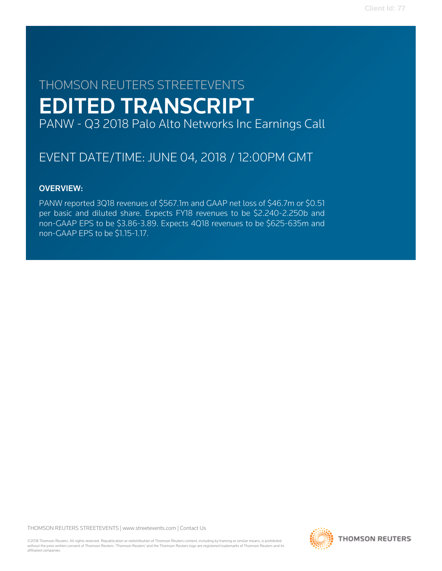# THOMSON REUTERS STREETEVENTS EDITED TRANSCRIPT PANW - Q3 2018 Palo Alto Networks Inc Earnings Call

# EVENT DATE/TIME: JUNE 04, 2018 / 12:00PM GMT

# OVERVIEW:

PANW reported 3Q18 revenues of \$567.1m and GAAP net loss of \$46.7m or \$0.51 per basic and diluted share. Expects FY18 revenues to be \$2.240-2.250b and non-GAAP EPS to be \$3.86-3.89. Expects 4Q18 revenues to be \$625-635m and non-GAAP EPS to be \$1.15-1.17.

THOMSON REUTERS STREETEVENTS | [www.streetevents.com](http://www.streetevents.com) | [Contact Us](http://www010.streetevents.com/contact.asp)

©2018 Thomson Reuters. All rights reserved. Republication or redistribution of Thomson Reuters content, including by framing or similar means, is prohibited without the prior written consent of Thomson Reuters. 'Thomson Reuters' and the Thomson Reuters logo are registered trademarks of Thomson Reuters and its affiliated companies.

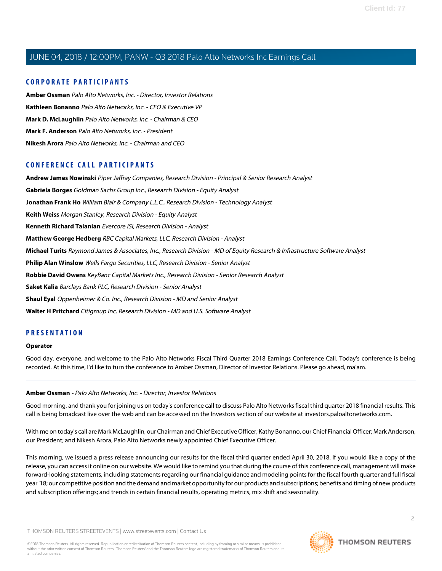# **CORPORATE PARTICIPANTS**

**[Amber Ossman](#page-1-0)** Palo Alto Networks, Inc. - Director, Investor Relations **[Kathleen Bonanno](#page-4-0)** Palo Alto Networks, Inc. - CFO & Executive VP **[Mark D. McLaughlin](#page-2-0)** Palo Alto Networks, Inc. - Chairman & CEO **[Mark F. Anderson](#page-7-0)** Palo Alto Networks, Inc. - President **[Nikesh Arora](#page-2-1)** Palo Alto Networks, Inc. - Chairman and CEO

# **CONFERENCE CALL PARTICIPANTS**

**[Andrew James Nowinski](#page-9-0)** Piper Jaffray Companies, Research Division - Principal & Senior Research Analyst **[Gabriela Borges](#page-10-0)** Goldman Sachs Group Inc., Research Division - Equity Analyst **[Jonathan Frank Ho](#page-9-1)** William Blair & Company L.L.C., Research Division - Technology Analyst **[Keith Weiss](#page-5-0)** Morgan Stanley, Research Division - Equity Analyst **[Kenneth Richard Talanian](#page-12-0)** Evercore ISI, Research Division - Analyst **[Matthew George Hedberg](#page-8-0)** RBC Capital Markets, LLC, Research Division - Analyst **[Michael Turits](#page-14-0)** Raymond James & Associates, Inc., Research Division - MD of Equity Research & Infrastructure Software Analyst **[Philip Alan Winslow](#page-6-0)** Wells Fargo Securities, LLC, Research Division - Senior Analyst **[Robbie David Owens](#page-15-0)** KeyBanc Capital Markets Inc., Research Division - Senior Research Analyst **[Saket Kalia](#page-11-0)** Barclays Bank PLC, Research Division - Senior Analyst **[Shaul Eyal](#page-13-0)** Oppenheimer & Co. Inc., Research Division - MD and Senior Analyst **[Walter H Pritchard](#page-12-1)** Citigroup Inc, Research Division - MD and U.S. Software Analyst

# **PRESENTATION**

#### **Operator**

<span id="page-1-0"></span>Good day, everyone, and welcome to the Palo Alto Networks Fiscal Third Quarter 2018 Earnings Conference Call. Today's conference is being recorded. At this time, I'd like to turn the conference to Amber Ossman, Director of Investor Relations. Please go ahead, ma'am.

# **Amber Ossman** - Palo Alto Networks, Inc. - Director, Investor Relations

Good morning, and thank you for joining us on today's conference call to discuss Palo Alto Networks fiscal third quarter 2018 financial results. This call is being broadcast live over the web and can be accessed on the Investors section of our website at investors.paloaltonetworks.com.

With me on today's call are Mark McLaughlin, our Chairman and Chief Executive Officer; Kathy Bonanno, our Chief Financial Officer; Mark Anderson, our President; and Nikesh Arora, Palo Alto Networks newly appointed Chief Executive Officer.

This morning, we issued a press release announcing our results for the fiscal third quarter ended April 30, 2018. If you would like a copy of the release, you can access it online on our website. We would like to remind you that during the course of this conference call, management will make forward-looking statements, including statements regarding our financial guidance and modeling points for the fiscal fourth quarter and full fiscal year '18; our competitive position and the demand and market opportunity for our products and subscriptions; benefits and timing of new products and subscription offerings; and trends in certain financial results, operating metrics, mix shift and seasonality.

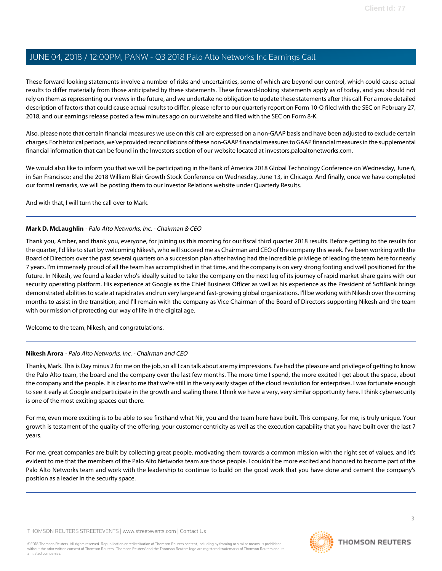These forward-looking statements involve a number of risks and uncertainties, some of which are beyond our control, which could cause actual results to differ materially from those anticipated by these statements. These forward-looking statements apply as of today, and you should not rely on them as representing our views in the future, and we undertake no obligation to update these statements after this call. For a more detailed description of factors that could cause actual results to differ, please refer to our quarterly report on Form 10-Q filed with the SEC on February 27, 2018, and our earnings release posted a few minutes ago on our website and filed with the SEC on Form 8-K.

Also, please note that certain financial measures we use on this call are expressed on a non-GAAP basis and have been adjusted to exclude certain charges. For historical periods, we've provided reconciliations of these non-GAAP financial measures to GAAP financial measures in the supplemental financial information that can be found in the Investors section of our website located at investors.paloaltonetworks.com.

We would also like to inform you that we will be participating in the Bank of America 2018 Global Technology Conference on Wednesday, June 6, in San Francisco; and the 2018 William Blair Growth Stock Conference on Wednesday, June 13, in Chicago. And finally, once we have completed our formal remarks, we will be posting them to our Investor Relations website under Quarterly Results.

<span id="page-2-0"></span>And with that, I will turn the call over to Mark.

# **Mark D. McLaughlin** - Palo Alto Networks, Inc. - Chairman & CEO

Thank you, Amber, and thank you, everyone, for joining us this morning for our fiscal third quarter 2018 results. Before getting to the results for the quarter, I'd like to start by welcoming Nikesh, who will succeed me as Chairman and CEO of the company this week. I've been working with the Board of Directors over the past several quarters on a succession plan after having had the incredible privilege of leading the team here for nearly 7 years. I'm immensely proud of all the team has accomplished in that time, and the company is on very strong footing and well positioned for the future. In Nikesh, we found a leader who's ideally suited to take the company on the next leg of its journey of rapid market share gains with our security operating platform. His experience at Google as the Chief Business Officer as well as his experience as the President of SoftBank brings demonstrated abilities to scale at rapid rates and run very large and fast-growing global organizations. I'll be working with Nikesh over the coming months to assist in the transition, and I'll remain with the company as Vice Chairman of the Board of Directors supporting Nikesh and the team with our mission of protecting our way of life in the digital age.

<span id="page-2-1"></span>Welcome to the team, Nikesh, and congratulations.

# **Nikesh Arora** - Palo Alto Networks, Inc. - Chairman and CEO

Thanks, Mark. This is Day minus 2 for me on the job, so all I can talk about are my impressions. I've had the pleasure and privilege of getting to know the Palo Alto team, the board and the company over the last few months. The more time I spend, the more excited I get about the space, about the company and the people. It is clear to me that we're still in the very early stages of the cloud revolution for enterprises. I was fortunate enough to see it early at Google and participate in the growth and scaling there. I think we have a very, very similar opportunity here. I think cybersecurity is one of the most exciting spaces out there.

For me, even more exciting is to be able to see firsthand what Nir, you and the team here have built. This company, for me, is truly unique. Your growth is testament of the quality of the offering, your customer centricity as well as the execution capability that you have built over the last 7 years.

For me, great companies are built by collecting great people, motivating them towards a common mission with the right set of values, and it's evident to me that the members of the Palo Alto Networks team are those people. I couldn't be more excited and honored to become part of the Palo Alto Networks team and work with the leadership to continue to build on the good work that you have done and cement the company's position as a leader in the security space.

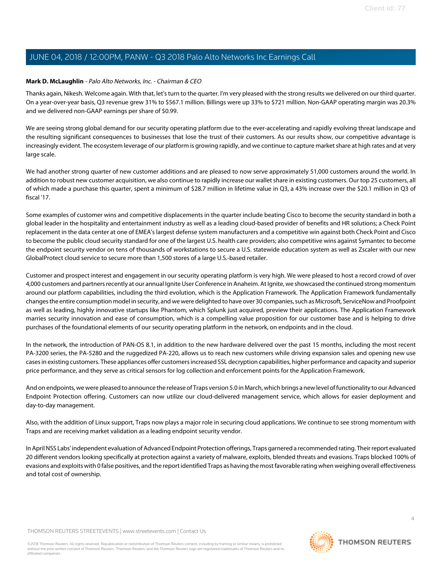# **Mark D. McLaughlin** - Palo Alto Networks, Inc. - Chairman & CEO

Thanks again, Nikesh. Welcome again. With that, let's turn to the quarter. I'm very pleased with the strong results we delivered on our third quarter. On a year-over-year basis, Q3 revenue grew 31% to \$567.1 million. Billings were up 33% to \$721 million. Non-GAAP operating margin was 20.3% and we delivered non-GAAP earnings per share of \$0.99.

We are seeing strong global demand for our security operating platform due to the ever-accelerating and rapidly evolving threat landscape and the resulting significant consequences to businesses that lose the trust of their customers. As our results show, our competitive advantage is increasingly evident. The ecosystem leverage of our platform is growing rapidly, and we continue to capture market share at high rates and at very large scale.

We had another strong quarter of new customer additions and are pleased to now serve approximately 51,000 customers around the world. In addition to robust new customer acquisition, we also continue to rapidly increase our wallet share in existing customers. Our top 25 customers, all of which made a purchase this quarter, spent a minimum of \$28.7 million in lifetime value in Q3, a 43% increase over the \$20.1 million in Q3 of fiscal '17.

Some examples of customer wins and competitive displacements in the quarter include beating Cisco to become the security standard in both a global leader in the hospitality and entertainment industry as well as a leading cloud-based provider of benefits and HR solutions; a Check Point replacement in the data center at one of EMEA's largest defense system manufacturers and a competitive win against both Check Point and Cisco to become the public cloud security standard for one of the largest U.S. health care providers; also competitive wins against Symantec to become the endpoint security vendor on tens of thousands of workstations to secure a U.S. statewide education system as well as Zscaler with our new GlobalProtect cloud service to secure more than 1,500 stores of a large U.S.-based retailer.

Customer and prospect interest and engagement in our security operating platform is very high. We were pleased to host a record crowd of over 4,000 customers and partners recently at our annual Ignite User Conference in Anaheim. At Ignite, we showcased the continued strong momentum around our platform capabilities, including the third evolution, which is the Application Framework. The Application Framework fundamentally changes the entire consumption model in security, and we were delighted to have over 30 companies, such as Microsoft, ServiceNow and Proofpoint as well as leading, highly innovative startups like Phantom, which Splunk just acquired, preview their applications. The Application Framework marries security innovation and ease of consumption, which is a compelling value proposition for our customer base and is helping to drive purchases of the foundational elements of our security operating platform in the network, on endpoints and in the cloud.

In the network, the introduction of PAN-OS 8.1, in addition to the new hardware delivered over the past 15 months, including the most recent PA-3200 series, the PA-5280 and the ruggedized PA-220, allows us to reach new customers while driving expansion sales and opening new use cases in existing customers. These appliances offer customers increased SSL decryption capabilities, higher performance and capacity and superior price performance, and they serve as critical sensors for log collection and enforcement points for the Application Framework.

And on endpoints, we were pleased to announce the release of Traps version 5.0 in March, which brings a new level of functionality to our Advanced Endpoint Protection offering. Customers can now utilize our cloud-delivered management service, which allows for easier deployment and day-to-day management.

Also, with the addition of Linux support, Traps now plays a major role in securing cloud applications. We continue to see strong momentum with Traps and are receiving market validation as a leading endpoint security vendor.

In April NSS Labs' independent evaluation of Advanced Endpoint Protection offerings, Traps garnered a recommended rating. Their report evaluated 20 different vendors looking specifically at protection against a variety of malware, exploits, blended threats and evasions. Traps blocked 100% of evasions and exploits with 0 false positives, and the report identified Traps as having the most favorable rating when weighing overall effectiveness and total cost of ownership.

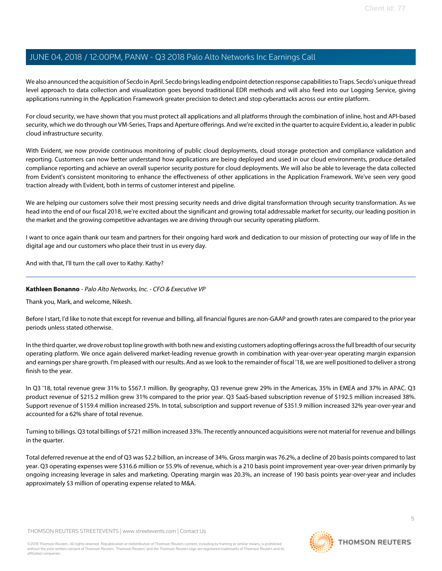We also announced the acquisition of Secdo in April. Secdo brings leading endpoint detection response capabilities to Traps. Secdo's unique thread level approach to data collection and visualization goes beyond traditional EDR methods and will also feed into our Logging Service, giving applications running in the Application Framework greater precision to detect and stop cyberattacks across our entire platform.

For cloud security, we have shown that you must protect all applications and all platforms through the combination of inline, host and API-based security, which we do through our VM-Series, Traps and Aperture offerings. And we're excited in the quarter to acquire Evident.io, a leader in public cloud infrastructure security.

With Evident, we now provide continuous monitoring of public cloud deployments, cloud storage protection and compliance validation and reporting. Customers can now better understand how applications are being deployed and used in our cloud environments, produce detailed compliance reporting and achieve an overall superior security posture for cloud deployments. We will also be able to leverage the data collected from Evident's consistent monitoring to enhance the effectiveness of other applications in the Application Framework. We've seen very good traction already with Evident, both in terms of customer interest and pipeline.

We are helping our customers solve their most pressing security needs and drive digital transformation through security transformation. As we head into the end of our fiscal 2018, we're excited about the significant and growing total addressable market for security, our leading position in the market and the growing competitive advantages we are driving through our security operating platform.

I want to once again thank our team and partners for their ongoing hard work and dedication to our mission of protecting our way of life in the digital age and our customers who place their trust in us every day.

<span id="page-4-0"></span>And with that, I'll turn the call over to Kathy. Kathy?

# **Kathleen Bonanno** - Palo Alto Networks, Inc. - CFO & Executive VP

Thank you, Mark, and welcome, Nikesh.

Before I start, I'd like to note that except for revenue and billing, all financial figures are non-GAAP and growth rates are compared to the prior year periods unless stated otherwise.

In the third quarter, we drove robust top line growth with both new and existing customers adopting offerings across the full breadth of our security operating platform. We once again delivered market-leading revenue growth in combination with year-over-year operating margin expansion and earnings per share growth. I'm pleased with our results. And as we look to the remainder of fiscal '18, we are well positioned to deliver a strong finish to the year.

In Q3 '18, total revenue grew 31% to \$567.1 million. By geography, Q3 revenue grew 29% in the Americas, 35% in EMEA and 37% in APAC. Q3 product revenue of \$215.2 million grew 31% compared to the prior year. Q3 SaaS-based subscription revenue of \$192.5 million increased 38%. Support revenue of \$159.4 million increased 25%. In total, subscription and support revenue of \$351.9 million increased 32% year-over-year and accounted for a 62% share of total revenue.

Turning to billings. Q3 total billings of \$721 million increased 33%. The recently announced acquisitions were not material for revenue and billings in the quarter.

Total deferred revenue at the end of Q3 was \$2.2 billion, an increase of 34%. Gross margin was 76.2%, a decline of 20 basis points compared to last year. Q3 operating expenses were \$316.6 million or 55.9% of revenue, which is a 210 basis point improvement year-over-year driven primarily by ongoing increasing leverage in sales and marketing. Operating margin was 20.3%, an increase of 190 basis points year-over-year and includes approximately \$3 million of operating expense related to M&A.

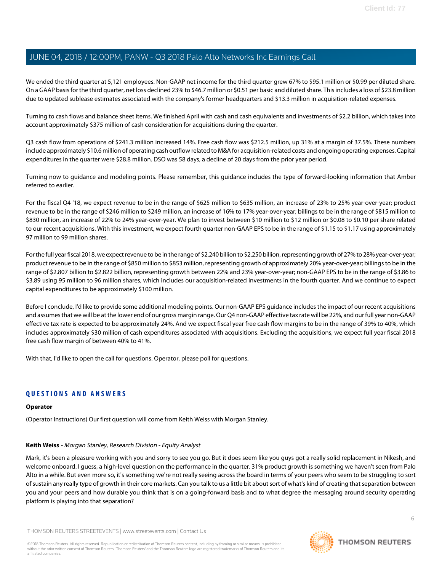We ended the third quarter at 5,121 employees. Non-GAAP net income for the third quarter grew 67% to \$95.1 million or \$0.99 per diluted share. On a GAAP basis for the third quarter, net loss declined 23% to \$46.7 million or \$0.51 per basic and diluted share. This includes a loss of \$23.8 million due to updated sublease estimates associated with the company's former headquarters and \$13.3 million in acquisition-related expenses.

Turning to cash flows and balance sheet items. We finished April with cash and cash equivalents and investments of \$2.2 billion, which takes into account approximately \$375 million of cash consideration for acquisitions during the quarter.

Q3 cash flow from operations of \$241.3 million increased 14%. Free cash flow was \$212.5 million, up 31% at a margin of 37.5%. These numbers include approximately \$10.6 million of operating cash outflow related to M&A for acquisition-related costs and ongoing operating expenses. Capital expenditures in the quarter were \$28.8 million. DSO was 58 days, a decline of 20 days from the prior year period.

Turning now to guidance and modeling points. Please remember, this guidance includes the type of forward-looking information that Amber referred to earlier.

For the fiscal Q4 '18, we expect revenue to be in the range of \$625 million to \$635 million, an increase of 23% to 25% year-over-year; product revenue to be in the range of \$246 million to \$249 million, an increase of 16% to 17% year-over-year; billings to be in the range of \$815 million to \$830 million, an increase of 22% to 24% year-over-year. We plan to invest between \$10 million to \$12 million or \$0.08 to \$0.10 per share related to our recent acquisitions. With this investment, we expect fourth quarter non-GAAP EPS to be in the range of \$1.15 to \$1.17 using approximately 97 million to 99 million shares.

For the full year fiscal 2018, we expect revenue to be in the range of \$2.240 billion to \$2.250 billion, representing growth of 27% to 28% year-over-year; product revenue to be in the range of \$850 million to \$853 million, representing growth of approximately 20% year-over-year; billings to be in the range of \$2.807 billion to \$2.822 billion, representing growth between 22% and 23% year-over-year; non-GAAP EPS to be in the range of \$3.86 to \$3.89 using 95 million to 96 million shares, which includes our acquisition-related investments in the fourth quarter. And we continue to expect capital expenditures to be approximately \$100 million.

Before I conclude, I'd like to provide some additional modeling points. Our non-GAAP EPS guidance includes the impact of our recent acquisitions and assumes that we will be at the lower end of our gross margin range. Our Q4 non-GAAP effective tax rate will be 22%, and our full year non-GAAP effective tax rate is expected to be approximately 24%. And we expect fiscal year free cash flow margins to be in the range of 39% to 40%, which includes approximately \$30 million of cash expenditures associated with acquisitions. Excluding the acquisitions, we expect full year fiscal 2018 free cash flow margin of between 40% to 41%.

With that, I'd like to open the call for questions. Operator, please poll for questions.

# **QUESTIONS AND ANSWERS**

# <span id="page-5-0"></span>**Operator**

(Operator Instructions) Our first question will come from Keith Weiss with Morgan Stanley.

# **Keith Weiss** - Morgan Stanley, Research Division - Equity Analyst

Mark, it's been a pleasure working with you and sorry to see you go. But it does seem like you guys got a really solid replacement in Nikesh, and welcome onboard. I guess, a high-level question on the performance in the quarter. 31% product growth is something we haven't seen from Palo Alto in a while. But even more so, it's something we're not really seeing across the board in terms of your peers who seem to be struggling to sort of sustain any really type of growth in their core markets. Can you talk to us a little bit about sort of what's kind of creating that separation between you and your peers and how durable you think that is on a going-forward basis and to what degree the messaging around security operating platform is playing into that separation?

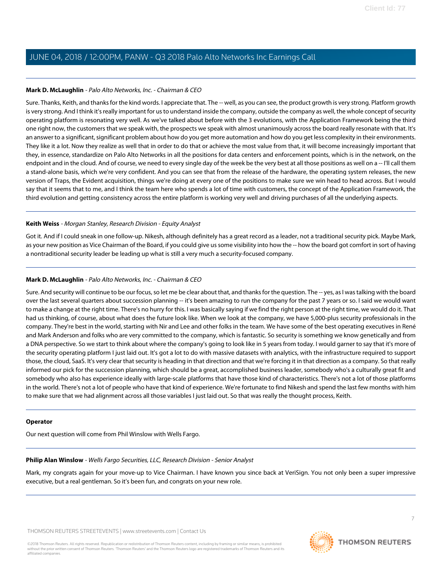# **Mark D. McLaughlin** - Palo Alto Networks, Inc. - Chairman & CEO

Sure. Thanks, Keith, and thanks for the kind words. I appreciate that. The -- well, as you can see, the product growth is very strong. Platform growth is very strong. And I think it's really important for us to understand inside the company, outside the company as well, the whole concept of security operating platform is resonating very well. As we've talked about before with the 3 evolutions, with the Application Framework being the third one right now, the customers that we speak with, the prospects we speak with almost unanimously across the board really resonate with that. It's an answer to a significant, significant problem about how do you get more automation and how do you get less complexity in their environments. They like it a lot. Now they realize as well that in order to do that or achieve the most value from that, it will become increasingly important that they, in essence, standardize on Palo Alto Networks in all the positions for data centers and enforcement points, which is in the network, on the endpoint and in the cloud. And of course, we need to every single day of the week be the very best at all those positions as well on a -- I'll call them a stand-alone basis, which we're very confident. And you can see that from the release of the hardware, the operating system releases, the new version of Traps, the Evident acquisition, things we're doing at every one of the positions to make sure we win head to head across. But I would say that it seems that to me, and I think the team here who spends a lot of time with customers, the concept of the Application Framework, the third evolution and getting consistency across the entire platform is working very well and driving purchases of all the underlying aspects.

# **Keith Weiss** - Morgan Stanley, Research Division - Equity Analyst

Got it. And if I could sneak in one follow-up. Nikesh, although definitely has a great record as a leader, not a traditional security pick. Maybe Mark, as your new position as Vice Chairman of the Board, if you could give us some visibility into how the -- how the board got comfort in sort of having a nontraditional security leader be leading up what is still a very much a security-focused company.

# **Mark D. McLaughlin** - Palo Alto Networks, Inc. - Chairman & CEO

Sure. And security will continue to be our focus, so let me be clear about that, and thanks for the question. The -- yes, as I was talking with the board over the last several quarters about succession planning -- it's been amazing to run the company for the past 7 years or so. I said we would want to make a change at the right time. There's no hurry for this. I was basically saying if we find the right person at the right time, we would do it. That had us thinking, of course, about what does the future look like. When we look at the company, we have 5,000-plus security professionals in the company. They're best in the world, starting with Nir and Lee and other folks in the team. We have some of the best operating executives in René and Mark Anderson and folks who are very committed to the company, which is fantastic. So security is something we know genetically and from a DNA perspective. So we start to think about where the company's going to look like in 5 years from today. I would garner to say that it's more of the security operating platform I just laid out. It's got a lot to do with massive datasets with analytics, with the infrastructure required to support those, the cloud, SaaS. It's very clear that security is heading in that direction and that we're forcing it in that direction as a company. So that really informed our pick for the succession planning, which should be a great, accomplished business leader, somebody who's a culturally great fit and somebody who also has experience ideally with large-scale platforms that have those kind of characteristics. There's not a lot of those platforms in the world. There's not a lot of people who have that kind of experience. We're fortunate to find Nikesh and spend the last few months with him to make sure that we had alignment across all those variables I just laid out. So that was really the thought process, Keith.

# <span id="page-6-0"></span>**Operator**

Our next question will come from Phil Winslow with Wells Fargo.

# **Philip Alan Winslow** - Wells Fargo Securities, LLC, Research Division - Senior Analyst

Mark, my congrats again for your move-up to Vice Chairman. I have known you since back at VeriSign. You not only been a super impressive executive, but a real gentleman. So it's been fun, and congrats on your new role.

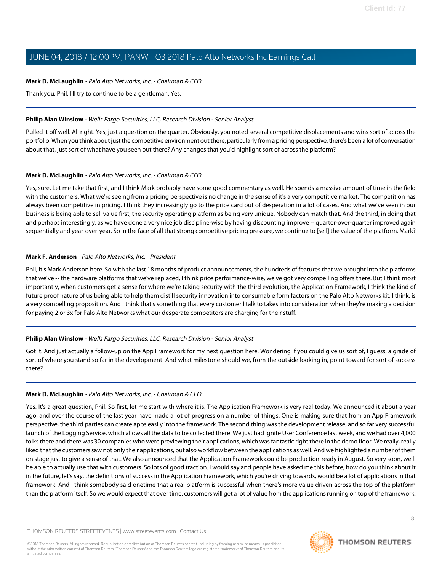# **Mark D. McLaughlin** - Palo Alto Networks, Inc. - Chairman & CEO

Thank you, Phil. I'll try to continue to be a gentleman. Yes.

# **Philip Alan Winslow** - Wells Fargo Securities, LLC, Research Division - Senior Analyst

Pulled it off well. All right. Yes, just a question on the quarter. Obviously, you noted several competitive displacements and wins sort of across the portfolio. When you think about just the competitive environment out there, particularly from a pricing perspective, there's been a lot of conversation about that, just sort of what have you seen out there? Any changes that you'd highlight sort of across the platform?

# **Mark D. McLaughlin** - Palo Alto Networks, Inc. - Chairman & CEO

Yes, sure. Let me take that first, and I think Mark probably have some good commentary as well. He spends a massive amount of time in the field with the customers. What we're seeing from a pricing perspective is no change in the sense of it's a very competitive market. The competition has always been competitive in pricing. I think they increasingly go to the price card out of desperation in a lot of cases. And what we've seen in our business is being able to sell value first, the security operating platform as being very unique. Nobody can match that. And the third, in doing that and perhaps interestingly, as we have done a very nice job discipline-wise by having discounting improve -- quarter-over-quarter improved again sequentially and year-over-year. So in the face of all that strong competitive pricing pressure, we continue to [sell] the value of the platform. Mark?

# <span id="page-7-0"></span>**Mark F. Anderson** - Palo Alto Networks, Inc. - President

Phil, it's Mark Anderson here. So with the last 18 months of product announcements, the hundreds of features that we brought into the platforms that we've -- the hardware platforms that we've replaced, I think price performance-wise, we've got very compelling offers there. But I think most importantly, when customers get a sense for where we're taking security with the third evolution, the Application Framework, I think the kind of future proof nature of us being able to help them distill security innovation into consumable form factors on the Palo Alto Networks kit, I think, is a very compelling proposition. And I think that's something that every customer I talk to takes into consideration when they're making a decision for paying 2 or 3x for Palo Alto Networks what our desperate competitors are charging for their stuff.

# **Philip Alan Winslow** - Wells Fargo Securities, LLC, Research Division - Senior Analyst

Got it. And just actually a follow-up on the App Framework for my next question here. Wondering if you could give us sort of, I guess, a grade of sort of where you stand so far in the development. And what milestone should we, from the outside looking in, point toward for sort of success there?

# **Mark D. McLaughlin** - Palo Alto Networks, Inc. - Chairman & CEO

Yes. It's a great question, Phil. So first, let me start with where it is. The Application Framework is very real today. We announced it about a year ago, and over the course of the last year have made a lot of progress on a number of things. One is making sure that from an App Framework perspective, the third parties can create apps easily into the framework. The second thing was the development release, and so far very successful launch of the Logging Service, which allows all the data to be collected there. We just had Ignite User Conference last week, and we had over 4,000 folks there and there was 30 companies who were previewing their applications, which was fantastic right there in the demo floor. We really, really liked that the customers saw not only their applications, but also workflow between the applications as well. And we highlighted a number of them on stage just to give a sense of that. We also announced that the Application Framework could be production-ready in August. So very soon, we'll be able to actually use that with customers. So lots of good traction. I would say and people have asked me this before, how do you think about it in the future, let's say, the definitions of success in the Application Framework, which you're driving towards, would be a lot of applications in that framework. And I think somebody said onetime that a real platform is successful when there's more value driven across the top of the platform than the platform itself. So we would expect that over time, customers will get a lot of value from the applications running on top of the framework.

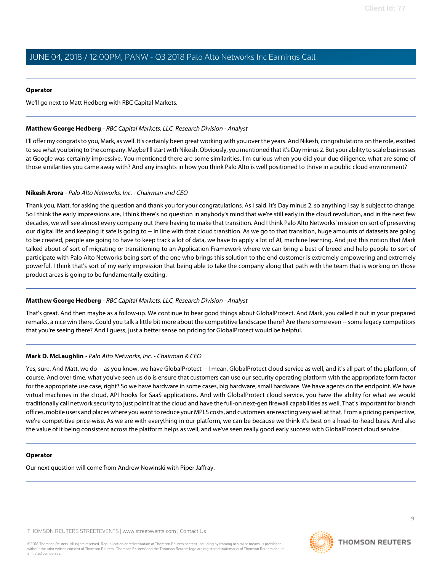# **Operator**

We'll go next to Matt Hedberg with RBC Capital Markets.

# <span id="page-8-0"></span>**Matthew George Hedberg** - RBC Capital Markets, LLC, Research Division - Analyst

I'll offer my congrats to you, Mark, as well. It's certainly been great working with you over the years. And Nikesh, congratulations on the role, excited to see what you bring to the company. Maybe I'll start with Nikesh. Obviously, you mentioned that it's Day minus 2. But your ability to scale businesses at Google was certainly impressive. You mentioned there are some similarities. I'm curious when you did your due diligence, what are some of those similarities you came away with? And any insights in how you think Palo Alto is well positioned to thrive in a public cloud environment?

# **Nikesh Arora** - Palo Alto Networks, Inc. - Chairman and CEO

Thank you, Matt, for asking the question and thank you for your congratulations. As I said, it's Day minus 2, so anything I say is subject to change. So I think the early impressions are, I think there's no question in anybody's mind that we're still early in the cloud revolution, and in the next few decades, we will see almost every company out there having to make that transition. And I think Palo Alto Networks' mission on sort of preserving our digital life and keeping it safe is going to -- in line with that cloud transition. As we go to that transition, huge amounts of datasets are going to be created, people are going to have to keep track a lot of data, we have to apply a lot of AI, machine learning. And just this notion that Mark talked about of sort of migrating or transitioning to an Application Framework where we can bring a best-of-breed and help people to sort of participate with Palo Alto Networks being sort of the one who brings this solution to the end customer is extremely empowering and extremely powerful. I think that's sort of my early impression that being able to take the company along that path with the team that is working on those product areas is going to be fundamentally exciting.

# **Matthew George Hedberg** - RBC Capital Markets, LLC, Research Division - Analyst

That's great. And then maybe as a follow-up. We continue to hear good things about GlobalProtect. And Mark, you called it out in your prepared remarks, a nice win there. Could you talk a little bit more about the competitive landscape there? Are there some even -- some legacy competitors that you're seeing there? And I guess, just a better sense on pricing for GlobalProtect would be helpful.

# **Mark D. McLaughlin** - Palo Alto Networks, Inc. - Chairman & CEO

Yes, sure. And Matt, we do -- as you know, we have GlobalProtect -- I mean, GlobalProtect cloud service as well, and it's all part of the platform, of course. And over time, what you've seen us do is ensure that customers can use our security operating platform with the appropriate form factor for the appropriate use case, right? So we have hardware in some cases, big hardware, small hardware. We have agents on the endpoint. We have virtual machines in the cloud, API hooks for SaaS applications. And with GlobalProtect cloud service, you have the ability for what we would traditionally call network security to just point it at the cloud and have the full-on next-gen firewall capabilities as well. That's important for branch offices, mobile users and places where you want to reduce your MPLS costs, and customers are reacting very well at that. From a pricing perspective, we're competitive price-wise. As we are with everything in our platform, we can be because we think it's best on a head-to-head basis. And also the value of it being consistent across the platform helps as well, and we've seen really good early success with GlobalProtect cloud service.

# **Operator**

Our next question will come from Andrew Nowinski with Piper Jaffray.

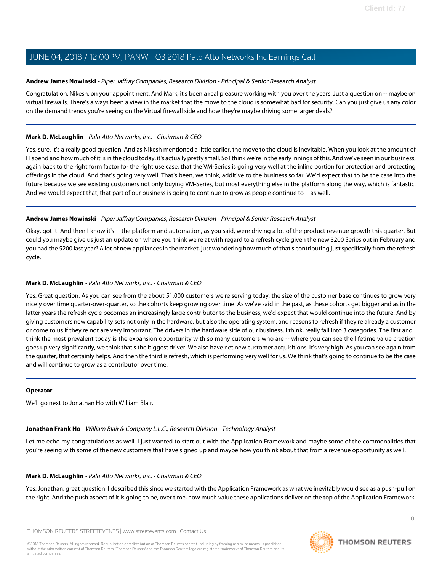# <span id="page-9-0"></span>**Andrew James Nowinski** - Piper Jaffray Companies, Research Division - Principal & Senior Research Analyst

Congratulation, Nikesh, on your appointment. And Mark, it's been a real pleasure working with you over the years. Just a question on -- maybe on virtual firewalls. There's always been a view in the market that the move to the cloud is somewhat bad for security. Can you just give us any color on the demand trends you're seeing on the Virtual firewall side and how they're maybe driving some larger deals?

# **Mark D. McLaughlin** - Palo Alto Networks, Inc. - Chairman & CEO

Yes, sure. It's a really good question. And as Nikesh mentioned a little earlier, the move to the cloud is inevitable. When you look at the amount of IT spend and how much of it is in the cloud today, it's actually pretty small. So I think we're in the early innings of this. And we've seen in our business, again back to the right form factor for the right use case, that the VM-Series is going very well at the inline portion for protection and protecting offerings in the cloud. And that's going very well. That's been, we think, additive to the business so far. We'd expect that to be the case into the future because we see existing customers not only buying VM-Series, but most everything else in the platform along the way, which is fantastic. And we would expect that, that part of our business is going to continue to grow as people continue to -- as well.

# **Andrew James Nowinski** - Piper Jaffray Companies, Research Division - Principal & Senior Research Analyst

Okay, got it. And then I know it's -- the platform and automation, as you said, were driving a lot of the product revenue growth this quarter. But could you maybe give us just an update on where you think we're at with regard to a refresh cycle given the new 3200 Series out in February and you had the 5200 last year? A lot of new appliances in the market, just wondering how much of that's contributing just specifically from the refresh cycle.

# **Mark D. McLaughlin** - Palo Alto Networks, Inc. - Chairman & CEO

Yes. Great question. As you can see from the about 51,000 customers we're serving today, the size of the customer base continues to grow very nicely over time quarter-over-quarter, so the cohorts keep growing over time. As we've said in the past, as these cohorts get bigger and as in the latter years the refresh cycle becomes an increasingly large contributor to the business, we'd expect that would continue into the future. And by giving customers new capability sets not only in the hardware, but also the operating system, and reasons to refresh if they're already a customer or come to us if they're not are very important. The drivers in the hardware side of our business, I think, really fall into 3 categories. The first and I think the most prevalent today is the expansion opportunity with so many customers who are -- where you can see the lifetime value creation goes up very significantly, we think that's the biggest driver. We also have net new customer acquisitions. It's very high. As you can see again from the quarter, that certainly helps. And then the third is refresh, which is performing very well for us. We think that's going to continue to be the case and will continue to grow as a contributor over time.

# <span id="page-9-1"></span>**Operator**

We'll go next to Jonathan Ho with William Blair.

# **Jonathan Frank Ho** - William Blair & Company L.L.C., Research Division - Technology Analyst

Let me echo my congratulations as well. I just wanted to start out with the Application Framework and maybe some of the commonalities that you're seeing with some of the new customers that have signed up and maybe how you think about that from a revenue opportunity as well.

# **Mark D. McLaughlin** - Palo Alto Networks, Inc. - Chairman & CEO

Yes. Jonathan, great question. I described this since we started with the Application Framework as what we inevitably would see as a push-pull on the right. And the push aspect of it is going to be, over time, how much value these applications deliver on the top of the Application Framework.

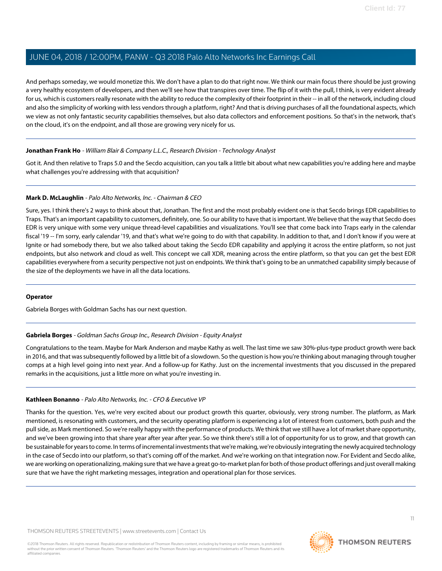And perhaps someday, we would monetize this. We don't have a plan to do that right now. We think our main focus there should be just growing a very healthy ecosystem of developers, and then we'll see how that transpires over time. The flip of it with the pull, I think, is very evident already for us, which is customers really resonate with the ability to reduce the complexity of their footprint in their -- in all of the network, including cloud and also the simplicity of working with less vendors through a platform, right? And that is driving purchases of all the foundational aspects, which we view as not only fantastic security capabilities themselves, but also data collectors and enforcement positions. So that's in the network, that's on the cloud, it's on the endpoint, and all those are growing very nicely for us.

# **Jonathan Frank Ho** - William Blair & Company L.L.C., Research Division - Technology Analyst

Got it. And then relative to Traps 5.0 and the Secdo acquisition, can you talk a little bit about what new capabilities you're adding here and maybe what challenges you're addressing with that acquisition?

# **Mark D. McLaughlin** - Palo Alto Networks, Inc. - Chairman & CEO

Sure, yes. I think there's 2 ways to think about that, Jonathan. The first and the most probably evident one is that Secdo brings EDR capabilities to Traps. That's an important capability to customers, definitely, one. So our ability to have that is important. We believe that the way that Secdo does EDR is very unique with some very unique thread-level capabilities and visualizations. You'll see that come back into Traps early in the calendar fiscal '19 -- I'm sorry, early calendar '19, and that's what we're going to do with that capability. In addition to that, and I don't know if you were at Ignite or had somebody there, but we also talked about taking the Secdo EDR capability and applying it across the entire platform, so not just endpoints, but also network and cloud as well. This concept we call XDR, meaning across the entire platform, so that you can get the best EDR capabilities everywhere from a security perspective not just on endpoints. We think that's going to be an unmatched capability simply because of the size of the deployments we have in all the data locations.

# <span id="page-10-0"></span>**Operator**

Gabriela Borges with Goldman Sachs has our next question.

# **Gabriela Borges** - Goldman Sachs Group Inc., Research Division - Equity Analyst

Congratulations to the team. Maybe for Mark Anderson and maybe Kathy as well. The last time we saw 30%-plus-type product growth were back in 2016, and that was subsequently followed by a little bit of a slowdown. So the question is how you're thinking about managing through tougher comps at a high level going into next year. And a follow-up for Kathy. Just on the incremental investments that you discussed in the prepared remarks in the acquisitions, just a little more on what you're investing in.

# **Kathleen Bonanno** - Palo Alto Networks, Inc. - CFO & Executive VP

Thanks for the question. Yes, we're very excited about our product growth this quarter, obviously, very strong number. The platform, as Mark mentioned, is resonating with customers, and the security operating platform is experiencing a lot of interest from customers, both push and the pull side, as Mark mentioned. So we're really happy with the performance of products. We think that we still have a lot of market share opportunity, and we've been growing into that share year after year after year. So we think there's still a lot of opportunity for us to grow, and that growth can be sustainable for years to come. In terms of incremental investments that we're making, we're obviously integrating the newly acquired technology in the case of Secdo into our platform, so that's coming off of the market. And we're working on that integration now. For Evident and Secdo alike, we are working on operationalizing, making sure that we have a great go-to-market plan for both of those product offerings and just overall making sure that we have the right marketing messages, integration and operational plan for those services.

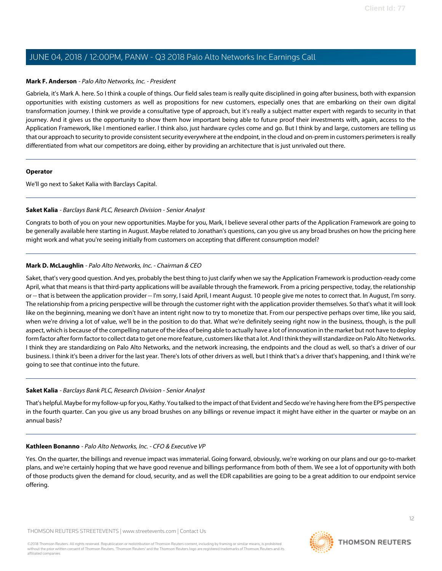# **Mark F. Anderson** - Palo Alto Networks, Inc. - President

Gabriela, it's Mark A. here. So I think a couple of things. Our field sales team is really quite disciplined in going after business, both with expansion opportunities with existing customers as well as propositions for new customers, especially ones that are embarking on their own digital transformation journey. I think we provide a consultative type of approach, but it's really a subject matter expert with regards to security in that journey. And it gives us the opportunity to show them how important being able to future proof their investments with, again, access to the Application Framework, like I mentioned earlier. I think also, just hardware cycles come and go. But I think by and large, customers are telling us that our approach to security to provide consistent security everywhere at the endpoint, in the cloud and on-prem in customers perimeters is really differentiated from what our competitors are doing, either by providing an architecture that is just unrivaled out there.

#### **Operator**

<span id="page-11-0"></span>We'll go next to Saket Kalia with Barclays Capital.

# **Saket Kalia** - Barclays Bank PLC, Research Division - Senior Analyst

Congrats to both of you on your new opportunities. Maybe for you, Mark, I believe several other parts of the Application Framework are going to be generally available here starting in August. Maybe related to Jonathan's questions, can you give us any broad brushes on how the pricing here might work and what you're seeing initially from customers on accepting that different consumption model?

# **Mark D. McLaughlin** - Palo Alto Networks, Inc. - Chairman & CEO

Saket, that's very good question. And yes, probably the best thing to just clarify when we say the Application Framework is production-ready come April, what that means is that third-party applications will be available through the framework. From a pricing perspective, today, the relationship or -- that is between the application provider -- I'm sorry, I said April, I meant August. 10 people give me notes to correct that. In August, I'm sorry. The relationship from a pricing perspective will be through the customer right with the application provider themselves. So that's what it will look like on the beginning, meaning we don't have an intent right now to try to monetize that. From our perspective perhaps over time, like you said, when we're driving a lot of value, we'll be in the position to do that. What we're definitely seeing right now in the business, though, is the pull aspect, which is because of the compelling nature of the idea of being able to actually have a lot of innovation in the market but not have to deploy form factor after form factor to collect data to get one more feature, customers like that a lot. And I think they will standardize on Palo Alto Networks. I think they are standardizing on Palo Alto Networks, and the network increasing, the endpoints and the cloud as well, so that's a driver of our business. I think it's been a driver for the last year. There's lots of other drivers as well, but I think that's a driver that's happening, and I think we're going to see that continue into the future.

# **Saket Kalia** - Barclays Bank PLC, Research Division - Senior Analyst

That's helpful. Maybe for my follow-up for you, Kathy. You talked to the impact of that Evident and Secdo we're having here from the EPS perspective in the fourth quarter. Can you give us any broad brushes on any billings or revenue impact it might have either in the quarter or maybe on an annual basis?

# **Kathleen Bonanno** - Palo Alto Networks, Inc. - CFO & Executive VP

Yes. On the quarter, the billings and revenue impact was immaterial. Going forward, obviously, we're working on our plans and our go-to-market plans, and we're certainly hoping that we have good revenue and billings performance from both of them. We see a lot of opportunity with both of those products given the demand for cloud, security, and as well the EDR capabilities are going to be a great addition to our endpoint service offering.

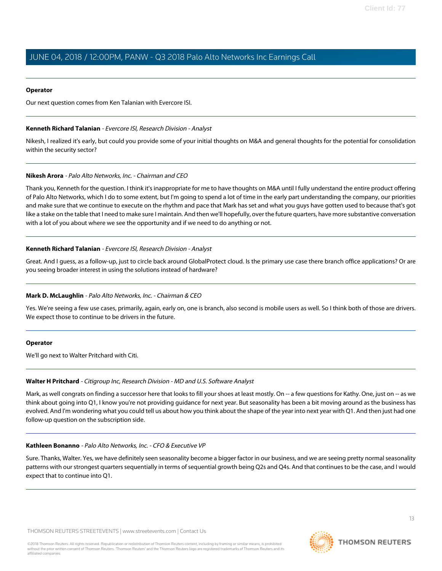# **Operator**

<span id="page-12-0"></span>Our next question comes from Ken Talanian with Evercore ISI.

# **Kenneth Richard Talanian** - Evercore ISI, Research Division - Analyst

Nikesh, I realized it's early, but could you provide some of your initial thoughts on M&A and general thoughts for the potential for consolidation within the security sector?

# **Nikesh Arora** - Palo Alto Networks, Inc. - Chairman and CEO

Thank you, Kenneth for the question. I think it's inappropriate for me to have thoughts on M&A until I fully understand the entire product offering of Palo Alto Networks, which I do to some extent, but I'm going to spend a lot of time in the early part understanding the company, our priorities and make sure that we continue to execute on the rhythm and pace that Mark has set and what you guys have gotten used to because that's got like a stake on the table that I need to make sure I maintain. And then we'll hopefully, over the future quarters, have more substantive conversation with a lot of you about where we see the opportunity and if we need to do anything or not.

# **Kenneth Richard Talanian** - Evercore ISI, Research Division - Analyst

Great. And I guess, as a follow-up, just to circle back around GlobalProtect cloud. Is the primary use case there branch office applications? Or are you seeing broader interest in using the solutions instead of hardware?

# **Mark D. McLaughlin** - Palo Alto Networks, Inc. - Chairman & CEO

Yes. We're seeing a few use cases, primarily, again, early on, one is branch, also second is mobile users as well. So I think both of those are drivers. We expect those to continue to be drivers in the future.

# <span id="page-12-1"></span>**Operator**

We'll go next to Walter Pritchard with Citi.

# **Walter H Pritchard** - Citigroup Inc, Research Division - MD and U.S. Software Analyst

Mark, as well congrats on finding a successor here that looks to fill your shoes at least mostly. On -- a few questions for Kathy. One, just on -- as we think about going into Q1, I know you're not providing guidance for next year. But seasonality has been a bit moving around as the business has evolved. And I'm wondering what you could tell us about how you think about the shape of the year into next year with Q1. And then just had one follow-up question on the subscription side.

# **Kathleen Bonanno** - Palo Alto Networks, Inc. - CFO & Executive VP

Sure. Thanks, Walter. Yes, we have definitely seen seasonality become a bigger factor in our business, and we are seeing pretty normal seasonality patterns with our strongest quarters sequentially in terms of sequential growth being Q2s and Q4s. And that continues to be the case, and I would expect that to continue into Q1.

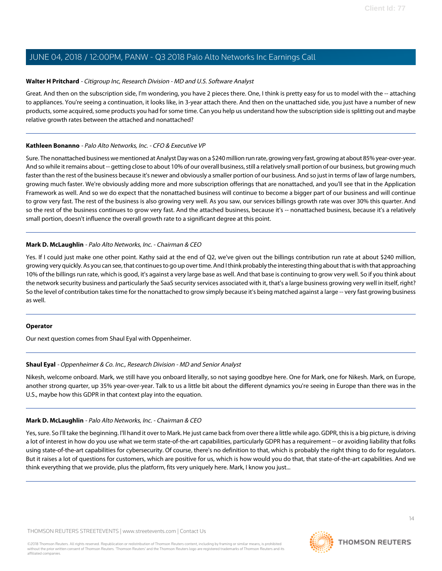# **Walter H Pritchard** - Citigroup Inc, Research Division - MD and U.S. Software Analyst

Great. And then on the subscription side, I'm wondering, you have 2 pieces there. One, I think is pretty easy for us to model with the -- attaching to appliances. You're seeing a continuation, it looks like, in 3-year attach there. And then on the unattached side, you just have a number of new products, some acquired, some products you had for some time. Can you help us understand how the subscription side is splitting out and maybe relative growth rates between the attached and nonattached?

# **Kathleen Bonanno** - Palo Alto Networks, Inc. - CFO & Executive VP

Sure. The nonattached business we mentioned at Analyst Day was on a \$240 million run rate, growing very fast, growing at about 85% year-over-year. And so while it remains about -- getting close to about 10% of our overall business, still a relatively small portion of our business, but growing much faster than the rest of the business because it's newer and obviously a smaller portion of our business. And so just in terms of law of large numbers, growing much faster. We're obviously adding more and more subscription offerings that are nonattached, and you'll see that in the Application Framework as well. And so we do expect that the nonattached business will continue to become a bigger part of our business and will continue to grow very fast. The rest of the business is also growing very well. As you saw, our services billings growth rate was over 30% this quarter. And so the rest of the business continues to grow very fast. And the attached business, because it's -- nonattached business, because it's a relatively small portion, doesn't influence the overall growth rate to a significant degree at this point.

# **Mark D. McLaughlin** - Palo Alto Networks, Inc. - Chairman & CEO

Yes. If I could just make one other point. Kathy said at the end of Q2, we've given out the billings contribution run rate at about \$240 million, growing very quickly. As you can see, that continues to go up over time. And I think probably the interesting thing about that is with that approaching 10% of the billings run rate, which is good, it's against a very large base as well. And that base is continuing to grow very well. So if you think about the network security business and particularly the SaaS security services associated with it, that's a large business growing very well in itself, right? So the level of contribution takes time for the nonattached to grow simply because it's being matched against a large -- very fast growing business as well.

# <span id="page-13-0"></span>**Operator**

Our next question comes from Shaul Eyal with Oppenheimer.

# **Shaul Eyal** - Oppenheimer & Co. Inc., Research Division - MD and Senior Analyst

Nikesh, welcome onboard. Mark, we still have you onboard literally, so not saying goodbye here. One for Mark, one for Nikesh. Mark, on Europe, another strong quarter, up 35% year-over-year. Talk to us a little bit about the different dynamics you're seeing in Europe than there was in the U.S., maybe how this GDPR in that context play into the equation.

# **Mark D. McLaughlin** - Palo Alto Networks, Inc. - Chairman & CEO

Yes, sure. So I'll take the beginning. I'll hand it over to Mark. He just came back from over there a little while ago. GDPR, this is a big picture, is driving a lot of interest in how do you use what we term state-of-the-art capabilities, particularly GDPR has a requirement -- or avoiding liability that folks using state-of-the-art capabilities for cybersecurity. Of course, there's no definition to that, which is probably the right thing to do for regulators. But it raises a lot of questions for customers, which are positive for us, which is how would you do that, that state-of-the-art capabilities. And we think everything that we provide, plus the platform, fits very uniquely here. Mark, I know you just...

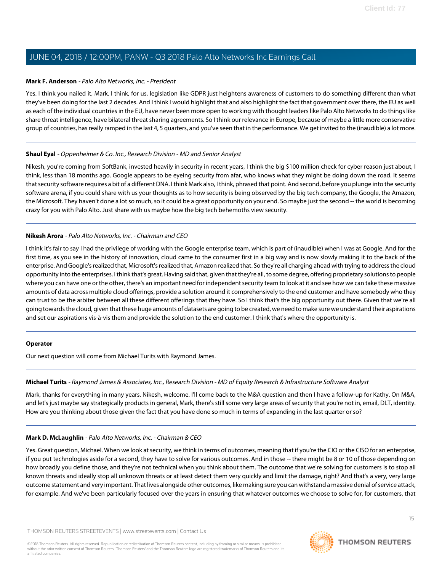# **Mark F. Anderson** - Palo Alto Networks, Inc. - President

Yes. I think you nailed it, Mark. I think, for us, legislation like GDPR just heightens awareness of customers to do something different than what they've been doing for the last 2 decades. And I think I would highlight that and also highlight the fact that government over there, the EU as well as each of the individual countries in the EU, have never been more open to working with thought leaders like Palo Alto Networks to do things like share threat intelligence, have bilateral threat sharing agreements. So I think our relevance in Europe, because of maybe a little more conservative group of countries, has really ramped in the last 4, 5 quarters, and you've seen that in the performance. We get invited to the (inaudible) a lot more.

# **Shaul Eyal** - Oppenheimer & Co. Inc., Research Division - MD and Senior Analyst

Nikesh, you're coming from SoftBank, invested heavily in security in recent years, I think the big \$100 million check for cyber reason just about, I think, less than 18 months ago. Google appears to be eyeing security from afar, who knows what they might be doing down the road. It seems that security software requires a bit of a different DNA. I think Mark also, I think, phrased that point. And second, before you plunge into the security software arena, if you could share with us your thoughts as to how security is being observed by the big tech company, the Google, the Amazon, the Microsoft. They haven't done a lot so much, so it could be a great opportunity on your end. So maybe just the second -- the world is becoming crazy for you with Palo Alto. Just share with us maybe how the big tech behemoths view security.

# **Nikesh Arora** - Palo Alto Networks, Inc. - Chairman and CEO

I think it's fair to say I had the privilege of working with the Google enterprise team, which is part of (inaudible) when I was at Google. And for the first time, as you see in the history of innovation, cloud came to the consumer first in a big way and is now slowly making it to the back of the enterprise. And Google's realized that, Microsoft's realized that, Amazon realized that. So they're all charging ahead with trying to address the cloud opportunity into the enterprises. I think that's great. Having said that, given that they're all, to some degree, offering proprietary solutions to people where you can have one or the other, there's an important need for independent security team to look at it and see how we can take these massive amounts of data across multiple cloud offerings, provide a solution around it comprehensively to the end customer and have somebody who they can trust to be the arbiter between all these different offerings that they have. So I think that's the big opportunity out there. Given that we're all going towards the cloud, given that these huge amounts of datasets are going to be created, we need to make sure we understand their aspirations and set our aspirations vis-à-vis them and provide the solution to the end customer. I think that's where the opportunity is.

# <span id="page-14-0"></span>**Operator**

Our next question will come from Michael Turits with Raymond James.

# **Michael Turits** - Raymond James & Associates, Inc., Research Division - MD of Equity Research & Infrastructure Software Analyst

Mark, thanks for everything in many years. Nikesh, welcome. I'll come back to the M&A question and then I have a follow-up for Kathy. On M&A, and let's just maybe say strategically products in general, Mark, there's still some very large areas of security that you're not in, email, DLT, identity. How are you thinking about those given the fact that you have done so much in terms of expanding in the last quarter or so?

# **Mark D. McLaughlin** - Palo Alto Networks, Inc. - Chairman & CEO

Yes. Great question, Michael. When we look at security, we think in terms of outcomes, meaning that if you're the CIO or the CISO for an enterprise, if you put technologies aside for a second, they have to solve for various outcomes. And in those -- there might be 8 or 10 of those depending on how broadly you define those, and they're not technical when you think about them. The outcome that we're solving for customers is to stop all known threats and ideally stop all unknown threats or at least detect them very quickly and limit the damage, right? And that's a very, very large outcome statement and very important. That lives alongside other outcomes, like making sure you can withstand a massive denial of service attack, for example. And we've been particularly focused over the years in ensuring that whatever outcomes we choose to solve for, for customers, that

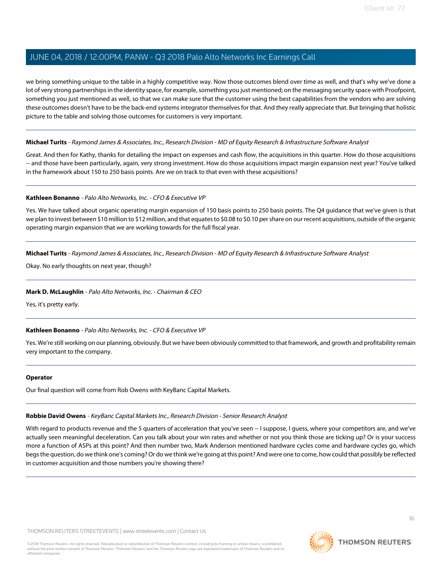we bring something unique to the table in a highly competitive way. Now those outcomes blend over time as well, and that's why we've done a lot of very strong partnerships in the identity space, for example, something you just mentioned; on the messaging security space with Proofpoint, something you just mentioned as well, so that we can make sure that the customer using the best capabilities from the vendors who are solving these outcomes doesn't have to be the back-end systems integrator themselves for that. And they really appreciate that. But bringing that holistic picture to the table and solving those outcomes for customers is very important.

# **Michael Turits** - Raymond James & Associates, Inc., Research Division - MD of Equity Research & Infrastructure Software Analyst

Great. And then for Kathy, thanks for detailing the impact on expenses and cash flow, the acquisitions in this quarter. How do those acquisitions -- and those have been particularly, again, very strong investment. How do those acquisitions impact margin expansion next year? You've talked in the framework about 150 to 250 basis points. Are we on track to that even with these acquisitions?

#### **Kathleen Bonanno** - Palo Alto Networks, Inc. - CFO & Executive VP

Yes. We have talked about organic operating margin expansion of 150 basis points to 250 basis points. The Q4 guidance that we've given is that we plan to invest between \$10 million to \$12 million, and that equates to \$0.08 to \$0.10 per share on our recent acquisitions, outside of the organic operating margin expansion that we are working towards for the full fiscal year.

**Michael Turits** - Raymond James & Associates, Inc., Research Division - MD of Equity Research & Infrastructure Software Analyst

Okay. No early thoughts on next year, though?

# **Mark D. McLaughlin** - Palo Alto Networks, Inc. - Chairman & CEO

Yes, it's pretty early.

# **Kathleen Bonanno** - Palo Alto Networks, Inc. - CFO & Executive VP

Yes. We're still working on our planning, obviously. But we have been obviously committed to that framework, and growth and profitability remain very important to the company.

#### <span id="page-15-0"></span>**Operator**

Our final question will come from Rob Owens with KeyBanc Capital Markets.

#### **Robbie David Owens** - KeyBanc Capital Markets Inc., Research Division - Senior Research Analyst

With regard to products revenue and the 5 quarters of acceleration that you've seen -- I suppose, I quess, where your competitors are, and we've actually seen meaningful deceleration. Can you talk about your win rates and whether or not you think those are ticking up? Or is your success more a function of ASPs at this point? And then number two, Mark Anderson mentioned hardware cycles come and hardware cycles go, which begs the question, do we think one's coming? Or do we think we're going at this point? And were one to come, how could that possibly be reflected in customer acquisition and those numbers you're showing there?

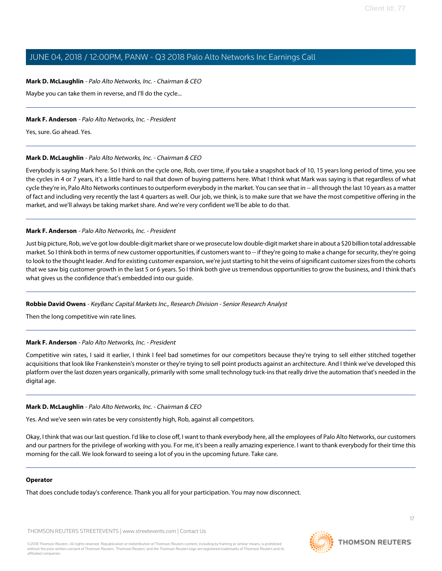# **Mark D. McLaughlin** - Palo Alto Networks, Inc. - Chairman & CEO

Maybe you can take them in reverse, and I'll do the cycle...

# **Mark F. Anderson** - Palo Alto Networks, Inc. - President

Yes, sure. Go ahead. Yes.

# **Mark D. McLaughlin** - Palo Alto Networks, Inc. - Chairman & CEO

Everybody is saying Mark here. So I think on the cycle one, Rob, over time, if you take a snapshot back of 10, 15 years long period of time, you see the cycles in 4 or 7 years, it's a little hard to nail that down of buying patterns here. What I think what Mark was saying is that regardless of what cycle they're in, Palo Alto Networks continues to outperform everybody in the market. You can see that in -- all through the last 10 years as a matter of fact and including very recently the last 4 quarters as well. Our job, we think, is to make sure that we have the most competitive offering in the market, and we'll always be taking market share. And we're very confident we'll be able to do that.

# **Mark F. Anderson** - Palo Alto Networks, Inc. - President

Just big picture, Rob, we've got low double-digit market share or we prosecute low double-digit market share in about a \$20 billion total addressable market. So I think both in terms of new customer opportunities, if customers want to -- if they're going to make a change for security, they're going to look to the thought leader. And for existing customer expansion, we're just starting to hit the veins of significant customer sizes from the cohorts that we saw big customer growth in the last 5 or 6 years. So I think both give us tremendous opportunities to grow the business, and I think that's what gives us the confidence that's embedded into our guide.

# **Robbie David Owens** - KeyBanc Capital Markets Inc., Research Division - Senior Research Analyst

Then the long competitive win rate lines.

# **Mark F. Anderson** - Palo Alto Networks, Inc. - President

Competitive win rates, I said it earlier, I think I feel bad sometimes for our competitors because they're trying to sell either stitched together acquisitions that look like Frankenstein's monster or they're trying to sell point products against an architecture. And I think we've developed this platform over the last dozen years organically, primarily with some small technology tuck-ins that really drive the automation that's needed in the digital age.

# **Mark D. McLaughlin** - Palo Alto Networks, Inc. - Chairman & CEO

Yes. And we've seen win rates be very consistently high, Rob, against all competitors.

Okay, I think that was our last question. I'd like to close off, I want to thank everybody here, all the employees of Palo Alto Networks, our customers and our partners for the privilege of working with you. For me, it's been a really amazing experience. I want to thank everybody for their time this morning for the call. We look forward to seeing a lot of you in the upcoming future. Take care.

# **Operator**

That does conclude today's conference. Thank you all for your participation. You may now disconnect.

THOMSON REUTERS STREETEVENTS | [www.streetevents.com](http://www.streetevents.com) | [Contact Us](http://www010.streetevents.com/contact.asp)